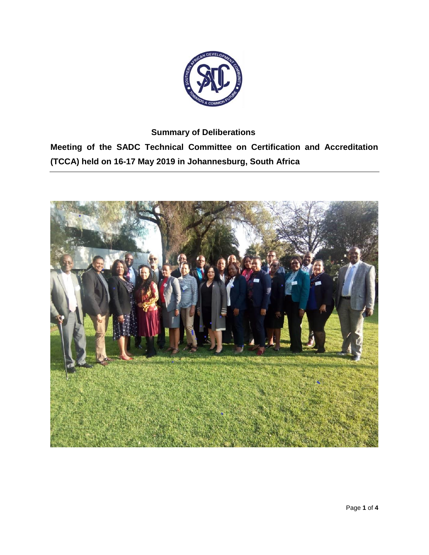

**Summary of Deliberations Meeting of the SADC Technical Committee on Certification and Accreditation (TCCA) held on 16-17 May 2019 in Johannesburg, South Africa**

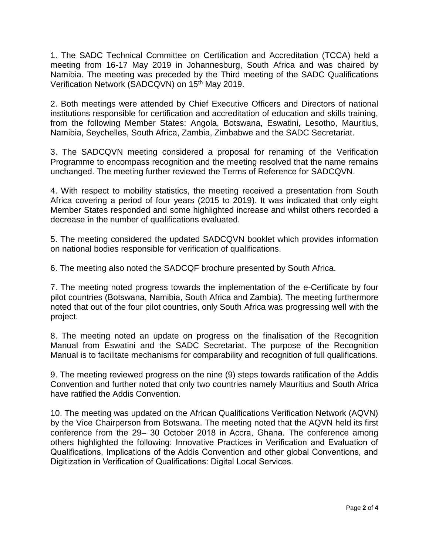1. The SADC Technical Committee on Certification and Accreditation (TCCA) held a meeting from 16-17 May 2019 in Johannesburg, South Africa and was chaired by Namibia. The meeting was preceded by the Third meeting of the SADC Qualifications Verification Network (SADCQVN) on 15<sup>th</sup> May 2019.

2. Both meetings were attended by Chief Executive Officers and Directors of national institutions responsible for certification and accreditation of education and skills training, from the following Member States: Angola, Botswana, Eswatini, Lesotho, Mauritius, Namibia, Seychelles, South Africa, Zambia, Zimbabwe and the SADC Secretariat.

3. The SADCQVN meeting considered a proposal for renaming of the Verification Programme to encompass recognition and the meeting resolved that the name remains unchanged. The meeting further reviewed the Terms of Reference for SADCQVN.

4. With respect to mobility statistics, the meeting received a presentation from South Africa covering a period of four years (2015 to 2019). It was indicated that only eight Member States responded and some highlighted increase and whilst others recorded a decrease in the number of qualifications evaluated.

5. The meeting considered the updated SADCQVN booklet which provides information on national bodies responsible for verification of qualifications.

6. The meeting also noted the SADCQF brochure presented by South Africa.

7. The meeting noted progress towards the implementation of the e-Certificate by four pilot countries (Botswana, Namibia, South Africa and Zambia). The meeting furthermore noted that out of the four pilot countries, only South Africa was progressing well with the project.

8. The meeting noted an update on progress on the finalisation of the Recognition Manual from Eswatini and the SADC Secretariat. The purpose of the Recognition Manual is to facilitate mechanisms for comparability and recognition of full qualifications.

9. The meeting reviewed progress on the nine (9) steps towards ratification of the Addis Convention and further noted that only two countries namely Mauritius and South Africa have ratified the Addis Convention.

10. The meeting was updated on the African Qualifications Verification Network (AQVN) by the Vice Chairperson from Botswana. The meeting noted that the AQVN held its first conference from the 29– 30 October 2018 in Accra, Ghana. The conference among others highlighted the following: Innovative Practices in Verification and Evaluation of Qualifications, Implications of the Addis Convention and other global Conventions, and Digitization in Verification of Qualifications: Digital Local Services.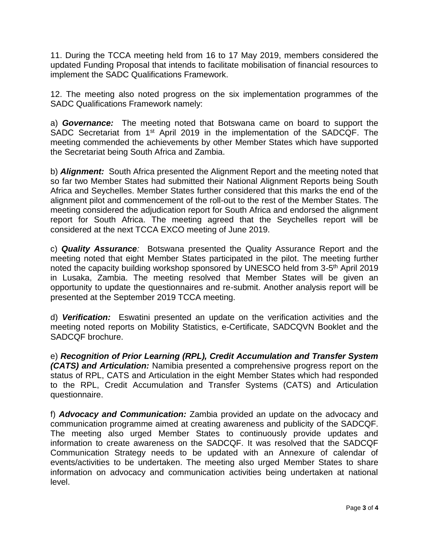11. During the TCCA meeting held from 16 to 17 May 2019, members considered the updated Funding Proposal that intends to facilitate mobilisation of financial resources to implement the SADC Qualifications Framework.

12. The meeting also noted progress on the six implementation programmes of the SADC Qualifications Framework namely:

a) *Governance:* The meeting noted that Botswana came on board to support the SADC Secretariat from 1<sup>st</sup> April 2019 in the implementation of the SADCQF. The meeting commended the achievements by other Member States which have supported the Secretariat being South Africa and Zambia.

b) *Alignment:* South Africa presented the Alignment Report and the meeting noted that so far two Member States had submitted their National Alignment Reports being South Africa and Seychelles. Member States further considered that this marks the end of the alignment pilot and commencement of the roll-out to the rest of the Member States. The meeting considered the adjudication report for South Africa and endorsed the alignment report for South Africa. The meeting agreed that the Seychelles report will be considered at the next TCCA EXCO meeting of June 2019.

c) *Quality Assurance:* Botswana presented the Quality Assurance Report and the meeting noted that eight Member States participated in the pilot. The meeting further noted the capacity building workshop sponsored by UNESCO held from 3-5<sup>th</sup> April 2019 in Lusaka, Zambia. The meeting resolved that Member States will be given an opportunity to update the questionnaires and re-submit. Another analysis report will be presented at the September 2019 TCCA meeting.

d) *Verification:* Eswatini presented an update on the verification activities and the meeting noted reports on Mobility Statistics, e-Certificate, SADCQVN Booklet and the SADCQF brochure.

e) *Recognition of Prior Learning (RPL), Credit Accumulation and Transfer System (CATS) and Articulation:* Namibia presented a comprehensive progress report on the status of RPL, CATS and Articulation in the eight Member States which had responded to the RPL, Credit Accumulation and Transfer Systems (CATS) and Articulation questionnaire.

f) *Advocacy and Communication:* Zambia provided an update on the advocacy and communication programme aimed at creating awareness and publicity of the SADCQF. The meeting also urged Member States to continuously provide updates and information to create awareness on the SADCQF. It was resolved that the SADCQF Communication Strategy needs to be updated with an Annexure of calendar of events/activities to be undertaken. The meeting also urged Member States to share information on advocacy and communication activities being undertaken at national level.